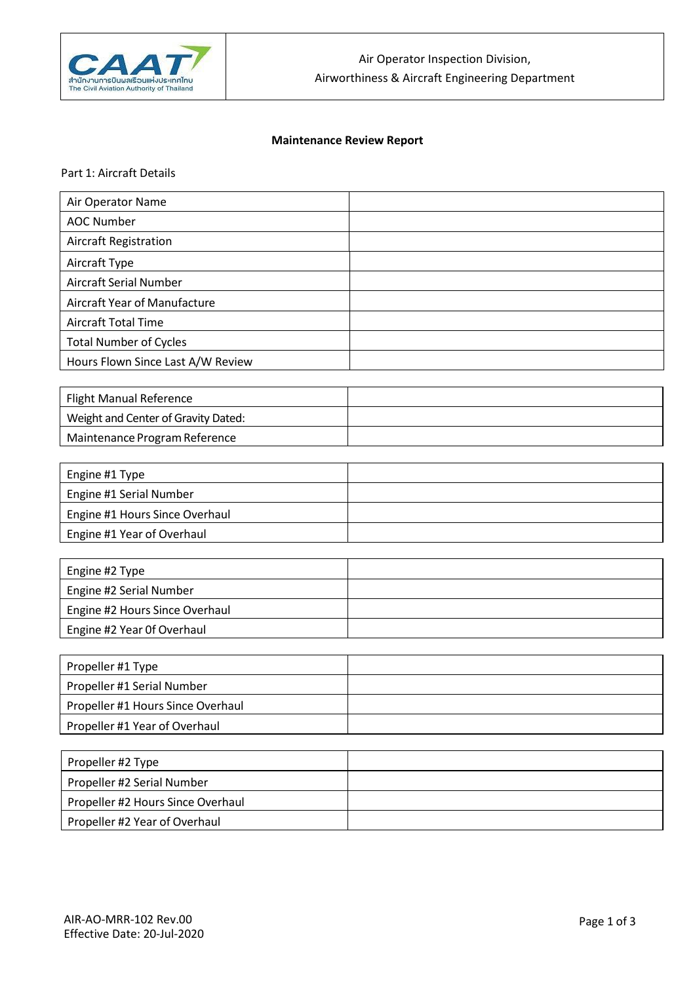

# **Maintenance Review Report**

Part 1: Aircraft Details

| Air Operator Name                 |  |
|-----------------------------------|--|
| AOC Number                        |  |
| Aircraft Registration             |  |
| Aircraft Type                     |  |
| Aircraft Serial Number            |  |
| Aircraft Year of Manufacture      |  |
| <b>Aircraft Total Time</b>        |  |
| <b>Total Number of Cycles</b>     |  |
| Hours Flown Since Last A/W Review |  |

| <b>Flight Manual Reference</b>      |  |
|-------------------------------------|--|
| Weight and Center of Gravity Dated: |  |
| Maintenance Program Reference       |  |

| Engine #1 Type                 |  |
|--------------------------------|--|
| Engine #1 Serial Number        |  |
| Engine #1 Hours Since Overhaul |  |
| Engine #1 Year of Overhaul     |  |

| Engine #2 Type                 |  |
|--------------------------------|--|
| Engine #2 Serial Number        |  |
| Engine #2 Hours Since Overhaul |  |
| Engine #2 Year Of Overhaul     |  |

| Propeller #1 Type                 |  |
|-----------------------------------|--|
| Propeller #1 Serial Number        |  |
| Propeller #1 Hours Since Overhaul |  |
| Propeller #1 Year of Overhaul     |  |

| Propeller #2 Type                 |  |
|-----------------------------------|--|
| Propeller #2 Serial Number        |  |
| Propeller #2 Hours Since Overhaul |  |
| Propeller #2 Year of Overhaul     |  |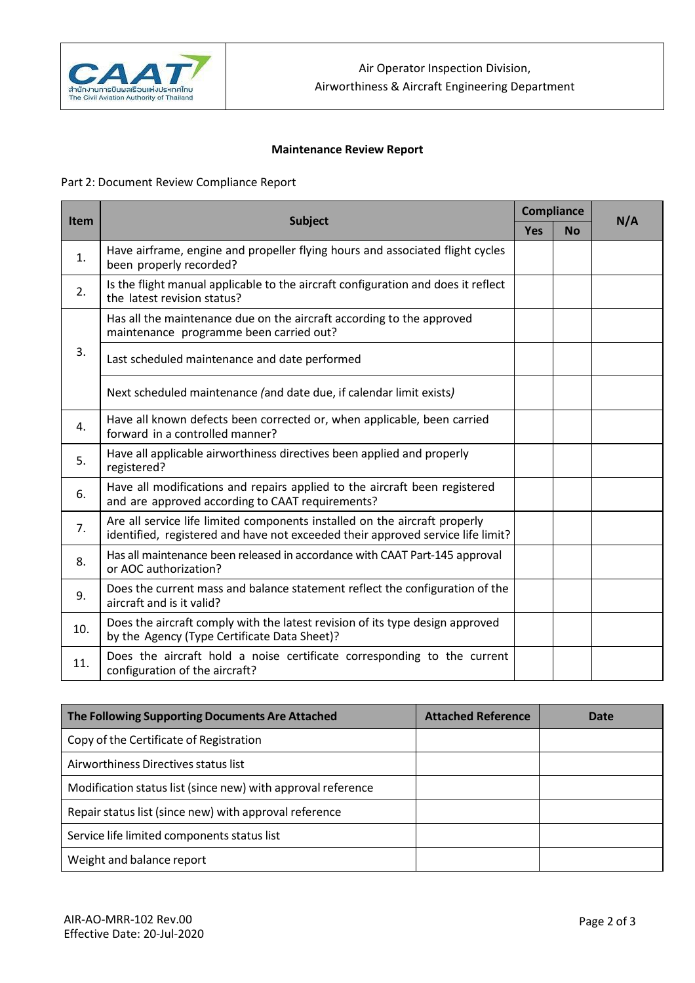

## **Maintenance Review Report**

## Part 2: Document Review Compliance Report

|             |                                                                                                                                                               | <b>Compliance</b> |           | N/A |
|-------------|---------------------------------------------------------------------------------------------------------------------------------------------------------------|-------------------|-----------|-----|
| <b>Item</b> | Subject                                                                                                                                                       |                   | <b>No</b> |     |
| 1.          | Have airframe, engine and propeller flying hours and associated flight cycles<br>been properly recorded?                                                      |                   |           |     |
| 2.          | Is the flight manual applicable to the aircraft configuration and does it reflect<br>the latest revision status?                                              |                   |           |     |
|             | Has all the maintenance due on the aircraft according to the approved<br>maintenance programme been carried out?                                              |                   |           |     |
| 3.          | Last scheduled maintenance and date performed                                                                                                                 |                   |           |     |
|             | Next scheduled maintenance (and date due, if calendar limit exists)                                                                                           |                   |           |     |
| 4.          | Have all known defects been corrected or, when applicable, been carried<br>forward in a controlled manner?                                                    |                   |           |     |
| 5.          | Have all applicable airworthiness directives been applied and properly<br>registered?                                                                         |                   |           |     |
| 6.          | Have all modifications and repairs applied to the aircraft been registered<br>and are approved according to CAAT requirements?                                |                   |           |     |
| 7.          | Are all service life limited components installed on the aircraft properly<br>identified, registered and have not exceeded their approved service life limit? |                   |           |     |
| 8.          | Has all maintenance been released in accordance with CAAT Part-145 approval<br>or AOC authorization?                                                          |                   |           |     |
| 9.          | Does the current mass and balance statement reflect the configuration of the<br>aircraft and is it valid?                                                     |                   |           |     |
| 10.         | Does the aircraft comply with the latest revision of its type design approved<br>by the Agency (Type Certificate Data Sheet)?                                 |                   |           |     |
| 11.         | Does the aircraft hold a noise certificate corresponding to the current<br>configuration of the aircraft?                                                     |                   |           |     |

| The Following Supporting Documents Are Attached              | <b>Attached Reference</b> | Date |
|--------------------------------------------------------------|---------------------------|------|
| Copy of the Certificate of Registration                      |                           |      |
| Airworthiness Directives status list                         |                           |      |
| Modification status list (since new) with approval reference |                           |      |
| Repair status list (since new) with approval reference       |                           |      |
| Service life limited components status list                  |                           |      |
| Weight and balance report                                    |                           |      |